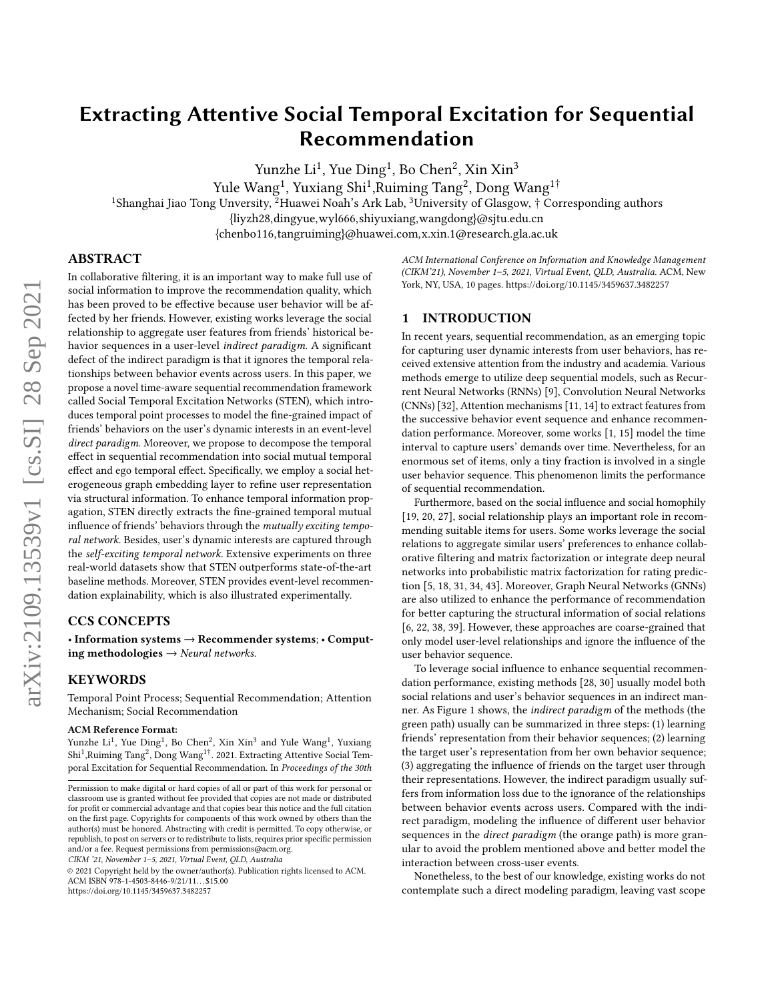# Extracting Attentive Social Temporal Excitation for Sequential Recommendation

Yunzhe Li $^1$ , Yue Ding $^1$ , Bo Chen $^2$ , Xin Xin $^3$ 

Yule Wang $^1$ , Yuxiang Shi $^1$ ,Ruiming Tang $^2$ , Dong Wang $^{1\dagger}$ 

<sup>1</sup>Shanghai Jiao Tong Unversity, <sup>2</sup>Huawei Noah's Ark Lab,  ${}^{3}$ University of Glasgow, † Corresponding authors

{liyzh28,dingyue,wyl666,shiyuxiang,wangdong}@sjtu.edu.cn

{chenbo116,tangruiming}@huawei.com,x.xin.1@research.gla.ac.uk

# ABSTRACT

In collaborative filtering, it is an important way to make full use of social information to improve the recommendation quality, which has been proved to be effective because user behavior will be affected by her friends. However, existing works leverage the social relationship to aggregate user features from friends' historical behavior sequences in a user-level indirect paradigm. A significant defect of the indirect paradigm is that it ignores the temporal relationships between behavior events across users. In this paper, we propose a novel time-aware sequential recommendation framework called Social Temporal Excitation Networks (STEN), which introduces temporal point processes to model the fine-grained impact of friends' behaviors on the user's dynamic interests in an event-level direct paradigm. Moreover, we propose to decompose the temporal effect in sequential recommendation into social mutual temporal effect and ego temporal effect. Specifically, we employ a social heterogeneous graph embedding layer to refine user representation via structural information. To enhance temporal information propagation, STEN directly extracts the fine-grained temporal mutual influence of friends' behaviors through the mutually exciting temporal network. Besides, user's dynamic interests are captured through the self-exciting temporal network. Extensive experiments on three real-world datasets show that STEN outperforms state-of-the-art baseline methods. Moreover, STEN provides event-level recommendation explainability, which is also illustrated experimentally.

# CCS CONCEPTS

• Information systems → Recommender systems; • Computing methodologies  $\rightarrow$  Neural networks.

#### KEYWORDS

Temporal Point Process; Sequential Recommendation; Attention Mechanism; Social Recommendation

#### ACM Reference Format:

Yunzhe Li<sup>1</sup>, Yue Ding<sup>1</sup>, Bo Chen<sup>2</sup>, Xin Xin<sup>3</sup> and Yule Wang<sup>1</sup>, Yuxiang Shi<sup>1</sup>, Ruiming Tang<sup>2</sup>, Dong Wang<sup>1†</sup>. 2021. Extracting Attentive Social Temporal Excitation for Sequential Recommendation. In Proceedings of the 30th

CIKM '21, November 1–5, 2021, Virtual Event, QLD, Australia

© 2021 Copyright held by the owner/author(s). Publication rights licensed to ACM. ACM ISBN 978-1-4503-8446-9/21/11. . . \$15.00 <https://doi.org/10.1145/3459637.3482257>

ACM International Conference on Information and Knowledge Management (CIKM'21), November 1–5, 2021, Virtual Event, QLD, Australia. ACM, New York, NY, USA, [10](#page-9-0) pages.<https://doi.org/10.1145/3459637.3482257>

#### 1 INTRODUCTION

In recent years, sequential recommendation, as an emerging topic for capturing user dynamic interests from user behaviors, has received extensive attention from the industry and academia. Various methods emerge to utilize deep sequential models, such as Recurrent Neural Networks (RNNs) [\[9\]](#page-9-1), Convolution Neural Networks (CNNs) [\[32\]](#page-9-2), Attention mechanisms [\[11,](#page-9-3) [14\]](#page-9-4) to extract features from the successive behavior event sequence and enhance recommendation performance. Moreover, some works [\[1,](#page-9-5) [15\]](#page-9-6) model the time interval to capture users' demands over time. Nevertheless, for an enormous set of items, only a tiny fraction is involved in a single user behavior sequence. This phenomenon limits the performance of sequential recommendation.

Furthermore, based on the social influence and social homophily [\[19,](#page-9-7) [20,](#page-9-8) [27\]](#page-9-9), social relationship plays an important role in recommending suitable items for users. Some works leverage the social relations to aggregate similar users' preferences to enhance collaborative filtering and matrix factorization or integrate deep neural networks into probabilistic matrix factorization for rating prediction [\[5,](#page-9-10) [18,](#page-9-11) [31,](#page-9-12) [34,](#page-9-13) [43\]](#page-9-14). Moreover, Graph Neural Networks (GNNs) are also utilized to enhance the performance of recommendation for better capturing the structural information of social relations [\[6,](#page-9-15) [22,](#page-9-16) [38,](#page-9-17) [39\]](#page-9-18). However, these approaches are coarse-grained that only model user-level relationships and ignore the influence of the user behavior sequence.

To leverage social influence to enhance sequential recommendation performance, existing methods [\[28,](#page-9-19) [30\]](#page-9-20) usually model both social relations and user's behavior sequences in an indirect manner. As Figure [1](#page-1-0) shows, the indirect paradigm of the methods (the green path) usually can be summarized in three steps: (1) learning friends' representation from their behavior sequences; (2) learning the target user's representation from her own behavior sequence; (3) aggregating the influence of friends on the target user through their representations. However, the indirect paradigm usually suffers from information loss due to the ignorance of the relationships between behavior events across users. Compared with the indirect paradigm, modeling the influence of different user behavior sequences in the *direct paradigm* (the orange path) is more granular to avoid the problem mentioned above and better model the interaction between cross-user events.

Nonetheless, to the best of our knowledge, existing works do not contemplate such a direct modeling paradigm, leaving vast scope

Permission to make digital or hard copies of all or part of this work for personal or classroom use is granted without fee provided that copies are not made or distributed for profit or commercial advantage and that copies bear this notice and the full citation on the first page. Copyrights for components of this work owned by others than the author(s) must be honored. Abstracting with credit is permitted. To copy otherwise, or republish, to post on servers or to redistribute to lists, requires prior specific permission and/or a fee. Request permissions from permissions@acm.org.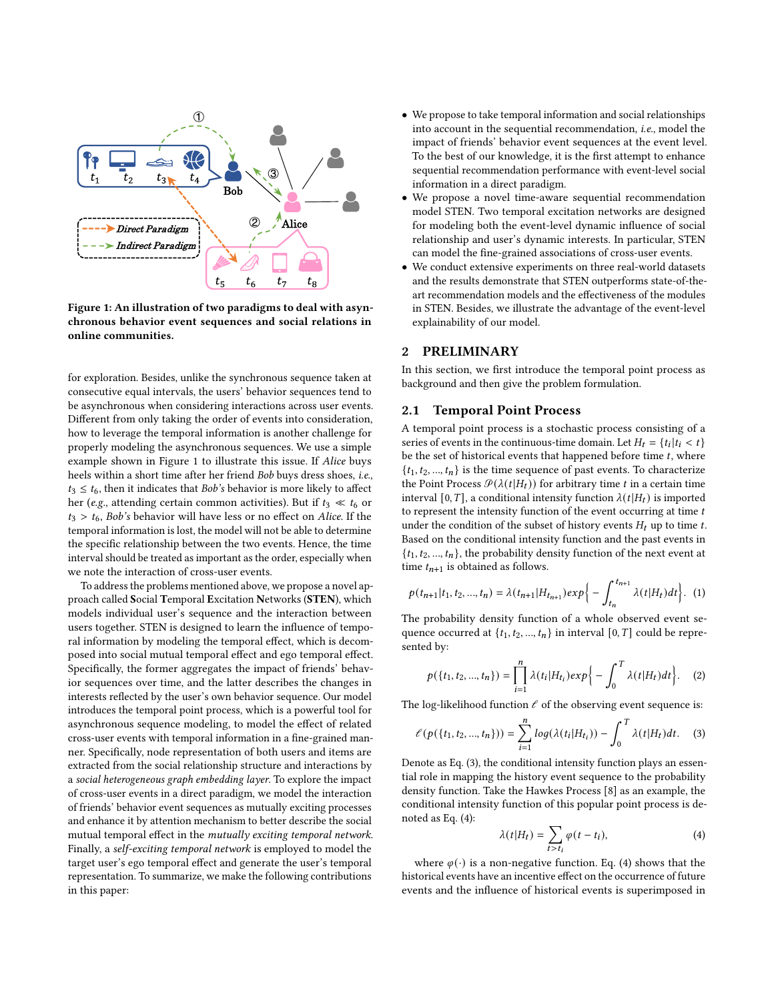<span id="page-1-0"></span>

Figure 1: An illustration of two paradigms to deal with asynchronous behavior event sequences and social relations in online communities.

for exploration. Besides, unlike the synchronous sequence taken at consecutive equal intervals, the users' behavior sequences tend to be asynchronous when considering interactions across user events. Different from only taking the order of events into consideration, how to leverage the temporal information is another challenge for properly modeling the asynchronous sequences. We use a simple example shown in Figure [1](#page-1-0) to illustrate this issue. If Alice buys heels within a short time after her friend Bob buys dress shoes, i.e.,  $t_3 \leq t_6$ , then it indicates that Bob's behavior is more likely to affect her (e.g., attending certain common activities). But if  $t_3 \ll t_6$  or  $t_3 > t_6$ , Bob's behavior will have less or no effect on Alice. If the temporal information is lost, the model will not be able to determine the specific relationship between the two events. Hence, the time interval should be treated as important as the order, especially when we note the interaction of cross-user events.

To address the problems mentioned above, we propose a novel approach called Social Temporal Excitation Networks (STEN), which models individual user's sequence and the interaction between users together. STEN is designed to learn the influence of temporal information by modeling the temporal effect, which is decomposed into social mutual temporal effect and ego temporal effect. Specifically, the former aggregates the impact of friends' behavior sequences over time, and the latter describes the changes in interests reflected by the user's own behavior sequence. Our model introduces the temporal point process, which is a powerful tool for asynchronous sequence modeling, to model the effect of related cross-user events with temporal information in a fine-grained manner. Specifically, node representation of both users and items are extracted from the social relationship structure and interactions by a social heterogeneous graph embedding layer. To explore the impact of cross-user events in a direct paradigm, we model the interaction of friends' behavior event sequences as mutually exciting processes and enhance it by attention mechanism to better describe the social mutual temporal effect in the mutually exciting temporal network. Finally, a self-exciting temporal network is employed to model the target user's ego temporal effect and generate the user's temporal representation. To summarize, we make the following contributions in this paper:

- We propose to take temporal information and social relationships into account in the sequential recommendation, i.e., model the impact of friends' behavior event sequences at the event level. To the best of our knowledge, it is the first attempt to enhance sequential recommendation performance with event-level social information in a direct paradigm.
- We propose a novel time-aware sequential recommendation model STEN. Two temporal excitation networks are designed for modeling both the event-level dynamic influence of social relationship and user's dynamic interests. In particular, STEN can model the fine-grained associations of cross-user events.
- We conduct extensive experiments on three real-world datasets and the results demonstrate that STEN outperforms state-of-theart recommendation models and the effectiveness of the modules in STEN. Besides, we illustrate the advantage of the event-level explainability of our model.

# 2 PRELIMINARY

In this section, we first introduce the temporal point process as background and then give the problem formulation.

#### 2.1 Temporal Point Process

A temporal point process is a stochastic process consisting of a series of events in the continuous-time domain. Let  $H_t = \{t_i | t_i < t\}$ be the set of historical events that happened before time  $t$ , where  $\{t_1, t_2, ..., t_n\}$  is the time sequence of past events. To characterize the Point Process  $\mathcal{P}(\lambda(t|H_t))$  for arbitrary time t in a certain time interval [0, T], a conditional intensity function  $\lambda(t|H_t)$  is imported to represent the intensity function of the event occurring at time  $t$ under the condition of the subset of history events  $H_t$  up to time  $t$ . Based on the conditional intensity function and the past events in  $\{t_1, t_2, ..., t_n\}$ , the probability density function of the next event at time  $t_{n+1}$  is obtained as follows.

$$
p(t_{n+1}|t_1, t_2, ..., t_n) = \lambda(t_{n+1}|H_{t_{n+1}})exp\left\{-\int_{t_n}^{t_{n+1}} \lambda(t|H_t)dt\right\}.
$$
 (1)

The probability density function of a whole observed event sequence occurred at  $\{t_1, t_2, ..., t_n\}$  in interval  $[0, T]$  could be represented by:

$$
p({t_1, t_2, ..., t_n}) = \prod_{i=1}^n \lambda(t_i|H_{t_i}) exp{- \int_0^T \lambda(t|H_t)dt}. \quad (2)
$$

The log-likelihood function  $\ell$  of the observing event sequence is:

<span id="page-1-1"></span>
$$
\ell(p(\{t_1, t_2, ..., t_n\})) = \sum_{i=1}^n \log(\lambda(t_i|H_{t_i})) - \int_0^T \lambda(t|H_t)dt.
$$
 (3)

Denote as Eq. [\(3\)](#page-1-1), the conditional intensity function plays an essential role in mapping the history event sequence to the probability density function. Take the Hawkes Process [\[8\]](#page-9-21) as an example, the conditional intensity function of this popular point process is denoted as Eq. [\(4\)](#page-1-2):

<span id="page-1-2"></span>
$$
\lambda(t|H_t) = \sum_{t>t_i} \varphi(t-t_i),\tag{4}
$$

where  $\varphi(\cdot)$  is a non-negative function. Eq. [\(4\)](#page-1-2) shows that the historical events have an incentive effect on the occurrence of future events and the influence of historical events is superimposed in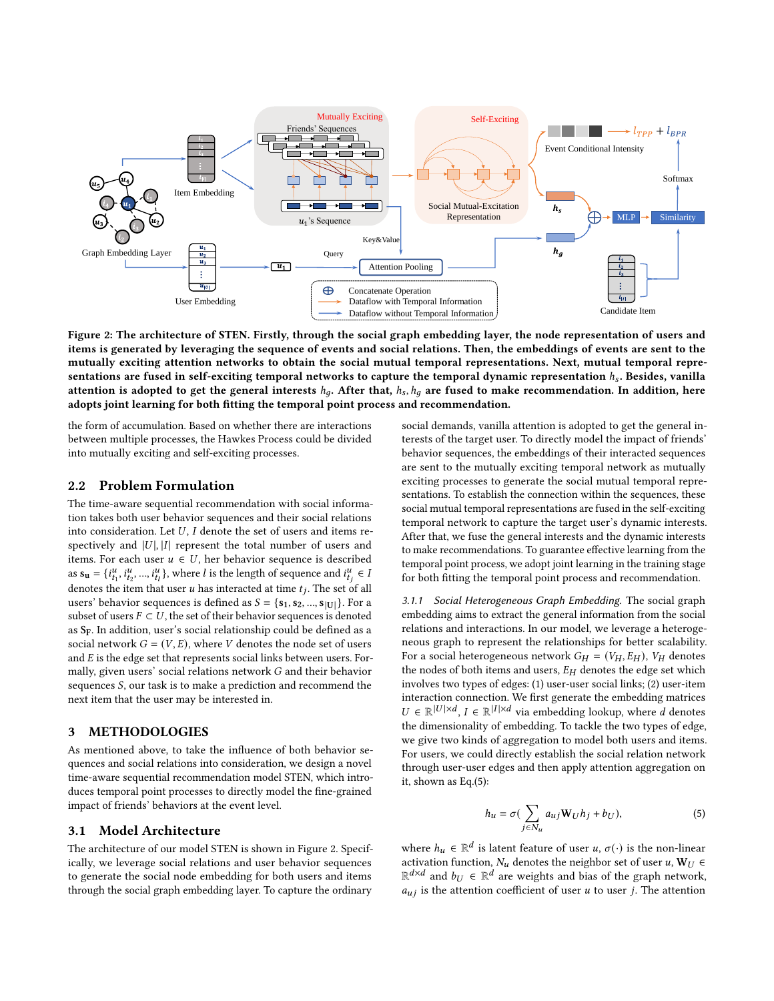<span id="page-2-0"></span>

Figure 2: The architecture of STEN. Firstly, through the social graph embedding layer, the node representation of users and items is generated by leveraging the sequence of events and social relations. Then, the embeddings of events are sent to the mutually exciting attention networks to obtain the social mutual temporal representations. Next, mutual temporal representations are fused in self-exciting temporal networks to capture the temporal dynamic representation  $h_s$ . Besides, vanilla attention is adopted to get the general interests  $h_q$ . After that,  $h_s$ ,  $h_q$  are fused to make recommendation. In addition, here adopts joint learning for both fitting the temporal point process and recommendation.

the form of accumulation. Based on whether there are interactions between multiple processes, the Hawkes Process could be divided into mutually exciting and self-exciting processes.

#### 2.2 Problem Formulation

The time-aware sequential recommendation with social information takes both user behavior sequences and their social relations into consideration. Let  $U$ ,  $I$  denote the set of users and items respectively and  $|U|$ ,  $|I|$  represent the total number of users and items. For each user  $u \in U$ , her behavior sequence is described as  $s_u = \{i_{t_1}^u, i_{t_2}^u, ..., i_{t_l}^u\}$ , where *l* is the length of sequence and  $i_{t_j}^u \in l$ denotes the item that user u has interacted at time  $t_j$ . The set of all users' behavior sequences is defined as  $S = \{s_1, s_2, ..., s_{|U|}\}$ . For a subset of users  $F \subset U$ , the set of their behavior sequences is denoted as  $S_F$ . In addition, user's social relationship could be defined as a social network  $G = (V, E)$ , where V denotes the node set of users and  $E$  is the edge set that represents social links between users. Formally, given users' social relations network  $G$  and their behavior sequences  $S$ , our task is to make a prediction and recommend the next item that the user may be interested in.

# 3 METHODOLOGIES

As mentioned above, to take the influence of both behavior sequences and social relations into consideration, we design a novel time-aware sequential recommendation model STEN, which introduces temporal point processes to directly model the fine-grained impact of friends' behaviors at the event level.

## 3.1 Model Architecture

The architecture of our model STEN is shown in Figure [2.](#page-2-0) Specifically, we leverage social relations and user behavior sequences to generate the social node embedding for both users and items through the social graph embedding layer. To capture the ordinary

social demands, vanilla attention is adopted to get the general interests of the target user. To directly model the impact of friends' behavior sequences, the embeddings of their interacted sequences are sent to the mutually exciting temporal network as mutually exciting processes to generate the social mutual temporal representations. To establish the connection within the sequences, these social mutual temporal representations are fused in the self-exciting temporal network to capture the target user's dynamic interests. After that, we fuse the general interests and the dynamic interests to make recommendations. To guarantee effective learning from the temporal point process, we adopt joint learning in the training stage for both fitting the temporal point process and recommendation.

3.1.1 Social Heterogeneous Graph Embedding. The social graph embedding aims to extract the general information from the social relations and interactions. In our model, we leverage a heterogeneous graph to represent the relationships for better scalability. For a social heterogeneous network  $G_H = (V_H, E_H)$ ,  $V_H$  denotes the nodes of both items and users,  $E_H$  denotes the edge set which involves two types of edges: (1) user-user social links; (2) user-item interaction connection. We first generate the embedding matrices  $U \in \mathbb{R}^{|U| \times d}$ ,  $I \in \mathbb{R}^{|I| \times d}$  via embedding lookup, where d denotes the dimensionality of embedding. To tackle the two types of edge, we give two kinds of aggregation to model both users and items. For users, we could directly establish the social relation network through user-user edges and then apply attention aggregation on it, shown as Eq.[\(5\)](#page-2-1):

<span id="page-2-1"></span>
$$
h_u = \sigma(\sum_{j \in N_u} a_{uj} \mathbf{W}_U h_j + b_U),\tag{5}
$$

where  $h_u \in \mathbb{R}^d$  is latent feature of user  $u, \sigma(\cdot)$  is the non-linear activation function,  $N_u$  denotes the neighbor set of user  $u$ ,  $W_U \in$  $\mathbb{R}^{d \times d}$  and  $b_U \in \mathbb{R}^d$  are weights and bias of the graph network,  $a_{uj}$  is the attention coefficient of user  $u$  to user  $j$ . The attention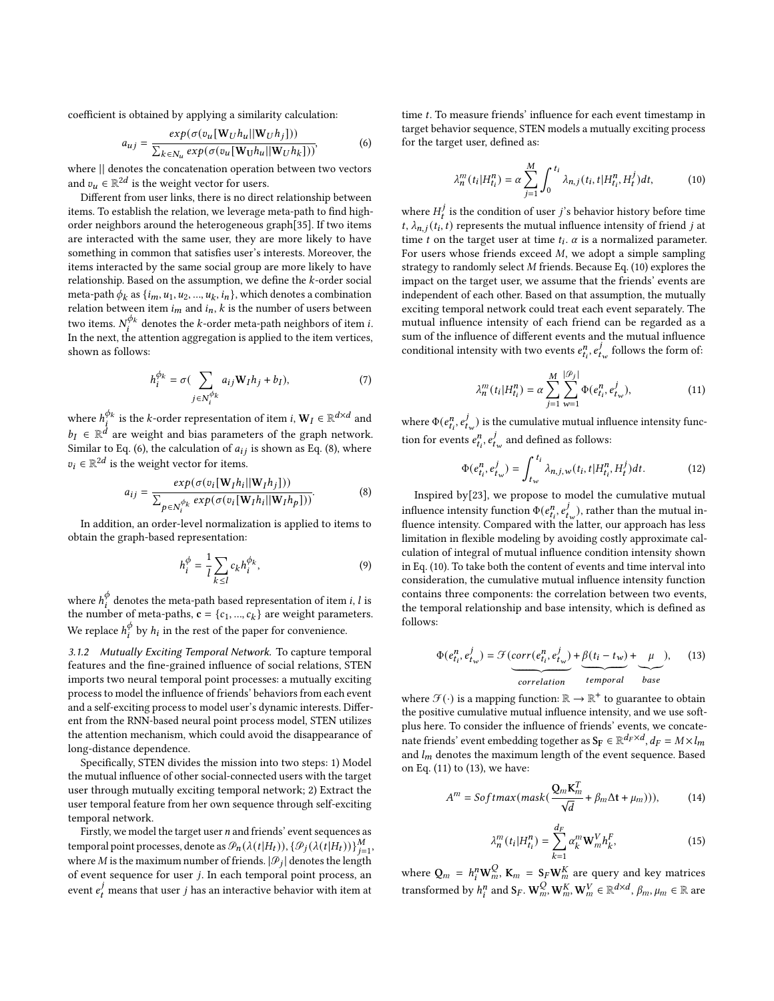coefficient is obtained by applying a similarity calculation:

<span id="page-3-0"></span>
$$
a_{uj} = \frac{exp(\sigma(v_u[\mathbf{W}_U h_u || \mathbf{W}_U h_j]))}{\sum_{k \in N_u} exp(\sigma(v_u[\mathbf{W}_U h_u || \mathbf{W}_U h_k]))},
$$
(6)

where || denotes the concatenation operation between two vectors and  $v_u \in \mathbb{R}^{2d}$  is the weight vector for users.

Different from user links, there is no direct relationship between items. To establish the relation, we leverage meta-path to find highorder neighbors around the heterogeneous graph[\[35\]](#page-9-22). If two items are interacted with the same user, they are more likely to have something in common that satisfies user's interests. Moreover, the items interacted by the same social group are more likely to have relationship. Based on the assumption, we define the  $k$ -order social meta-path  $\phi_k$  as  $\{i_m, u_1, u_2, ..., u_k, i_n\},$  which denotes a combination relation between item  $i_m$  and  $i_n$ ,  $k$  is the number of users between two items.  $N_i^{\phi_k}$  denotes the *k*-order meta-path neighbors of item *i*. In the next, the attention aggregation is applied to the item vertices, shown as follows:

$$
h_i^{\phi_k} = \sigma\left(\sum_{j \in N_i^{\phi_k}} a_{ij} \mathbf{W}_I h_j + b_I\right),\tag{7}
$$

where  $h_i^{\phi_k}$  is the *k*-order representation of item *i*,  $\mathbf{W}_I \in \mathbb{R}^{d \times d}$  and  $b_I \in \mathbb{R}^{\dot{d}}$  are weight and bias parameters of the graph network. Similar to Eq. [\(6\)](#page-3-0), the calculation of  $a_{ij}$  is shown as Eq. [\(8\)](#page-3-1), where  $v_i \in \mathbb{R}^{2d}$  is the weight vector for items.

<span id="page-3-1"></span>
$$
a_{ij} = \frac{exp(\sigma(v_i[\mathbf{W}_I h_i || \mathbf{W}_I h_j]))}{\sum_{p \in N_i^{\phi_k}} exp(\sigma(v_i[\mathbf{W}_I h_i || \mathbf{W}_I h_p]))}.
$$
 (8)

In addition, an order-level normalization is applied to items to obtain the graph-based representation:

$$
h_i^{\phi} = \frac{1}{l} \sum_{k \le l} c_k h_i^{\phi_k},\tag{9}
$$

where  $h_i^{\phi}$  $\frac{\phi}{i}$  denotes the meta-path based representation of item *i*, *l* is the number of meta-paths,  $\mathbf{c} = \{c_1, ..., c_k\}$  are weight parameters. We replace  $h_i^{\phi}$  $\frac{\phi}{i}$  by  $h_i$  in the rest of the paper for convenience.

3.1.2 Mutually Exciting Temporal Network. To capture temporal features and the fine-grained influence of social relations, STEN imports two neural temporal point processes: a mutually exciting process to model the influence of friends' behaviors from each event and a self-exciting process to model user's dynamic interests. Different from the RNN-based neural point process model, STEN utilizes the attention mechanism, which could avoid the disappearance of long-distance dependence.

Specifically, STEN divides the mission into two steps: 1) Model the mutual influence of other social-connected users with the target user through mutually exciting temporal network; 2) Extract the user temporal feature from her own sequence through self-exciting temporal network.

Firstly, we model the target user  $n$  and friends' event sequences as temporal point processes, denote as  $\mathcal{P}_n(\lambda(t|H_t)), \{\mathcal{P}_j(\lambda(t|H_t))\}_{j=1}^M$ , where M is the maximum number of friends.  $|\mathcal{P}_j|$  denotes the length of event sequence for user  $j$ . In each temporal point process, an event  $e_t^j$  means that user *j* has an interactive behavior with item at

time  $t$ . To measure friends' influence for each event timestamp in target behavior sequence, STEN models a mutually exciting process for the target user, defined as:

<span id="page-3-2"></span>
$$
\lambda_n^m(t_i|H_{t_i}^n) = \alpha \sum_{j=1}^M \int_0^{t_i} \lambda_{n,j}(t_i, t|H_{t_i}^n, H_t^j) dt,
$$
 (10)

where  $H_t^j$  is the condition of user  $j$ 's behavior history before time t,  $\lambda_{n,j}(t_i, t)$  represents the mutual influence intensity of friend j at time *t* on the target user at time  $t_i$ .  $\alpha$  is a normalized parameter. For users whose friends exceed  $M$ , we adopt a simple sampling strategy to randomly select  $M$  friends. Because Eq. [\(10\)](#page-3-2) explores the impact on the target user, we assume that the friends' events are independent of each other. Based on that assumption, the mutually exciting temporal network could treat each event separately. The mutual influence intensity of each friend can be regarded as a sum of the influence of different events and the mutual influence conditional intensity with two events  $e_{t_i}^n$ ,  $e_{t_w}^j$  follows the form of:

<span id="page-3-3"></span>
$$
\lambda_n^m(t_i|H_{t_i}^n) = \alpha \sum_{j=1}^M \sum_{w=1}^{|\mathcal{P}_j|} \Phi(e_{t_i}^n, e_{t_w}^j), \tag{11}
$$

where  $\Phi(e_{t_i}^n, e_{t_w}^j)$  is the cumulative mutual influence intensity function for events  $e_{t_i}^n$ ,  $e_{t_w}^j$  and defined as follows:

<span id="page-3-5"></span>
$$
\Phi(e_{t_i}^n, e_{t_w}^j) = \int_{t_w}^{t_i} \lambda_{n,j,w}(t_i, t | H_{t_i}^n, H_t^j) dt.
$$
 (12)

Inspired by[\[23\]](#page-9-23), we propose to model the cumulative mutual influence intensity function  $\Phi(e_{t_i}^n, e_{t_w}^j)$ , rather than the mutual influence intensity. Compared with the latter, our approach has less limitation in flexible modeling by avoiding costly approximate calculation of integral of mutual influence condition intensity shown in Eq. [\(10\)](#page-3-2). To take both the content of events and time interval into consideration, the cumulative mutual influence intensity function contains three components: the correlation between two events, the temporal relationship and base intensity, which is defined as follows:

<span id="page-3-4"></span>
$$
\Phi(e_{t_i}^n, e_{t_w}^j) = \mathcal{F}(\underbrace{corr(e_{t_i}^n, e_{t_w}^j)}_{correlation} + \underbrace{\beta(t_i - t_w)}_{temporal} + \underbrace{\mu}_{base})
$$
\n(13)

where  $\mathcal{F}(\cdot)$  is a mapping function:  $\mathbb{R} \to \mathbb{R}^+$  to guarantee to obtain the positive cumulative mutual influence intensity, and we use softplus here. To consider the influence of friends' events, we concatenate friends' event embedding together as  $\mathbf{S_F} \in \mathbb{R}^{d_F \times d}$ ,  $d_F = M \times l_m$ and  $l_m$  denotes the maximum length of the event sequence. Based on Eq. [\(11\)](#page-3-3) to [\(13\)](#page-3-4), we have:

$$
A^{m} = Softmax(maxk(\frac{\mathbf{Q}_{m}\mathbf{K}_{m}^{T}}{\sqrt{d}} + \beta_{m}\Delta t + \mu_{m}))), \qquad (14)
$$

$$
\lambda_n^m(t_i|H_{t_i}^n) = \sum_{k=1}^{d_F} \alpha_k^m \mathbf{W}_m^V h_k^F,
$$
\n(15)

where  $Q_m = h_i^n \mathbf{W}_m^Q$ ,  $\mathbf{K}_m = \mathbf{S}_F \mathbf{W}_m^K$  are query and key matrices transformed by  $h_i^n$  and  $S_F$ .  $\mathbf{W}_m^Q$ ,  $\mathbf{W}_m^K$ ,  $\mathbf{W}_m^V \in \mathbb{R}^{d \times d}$ ,  $\beta_m$ ,  $\mu_m \in \mathbb{R}$  are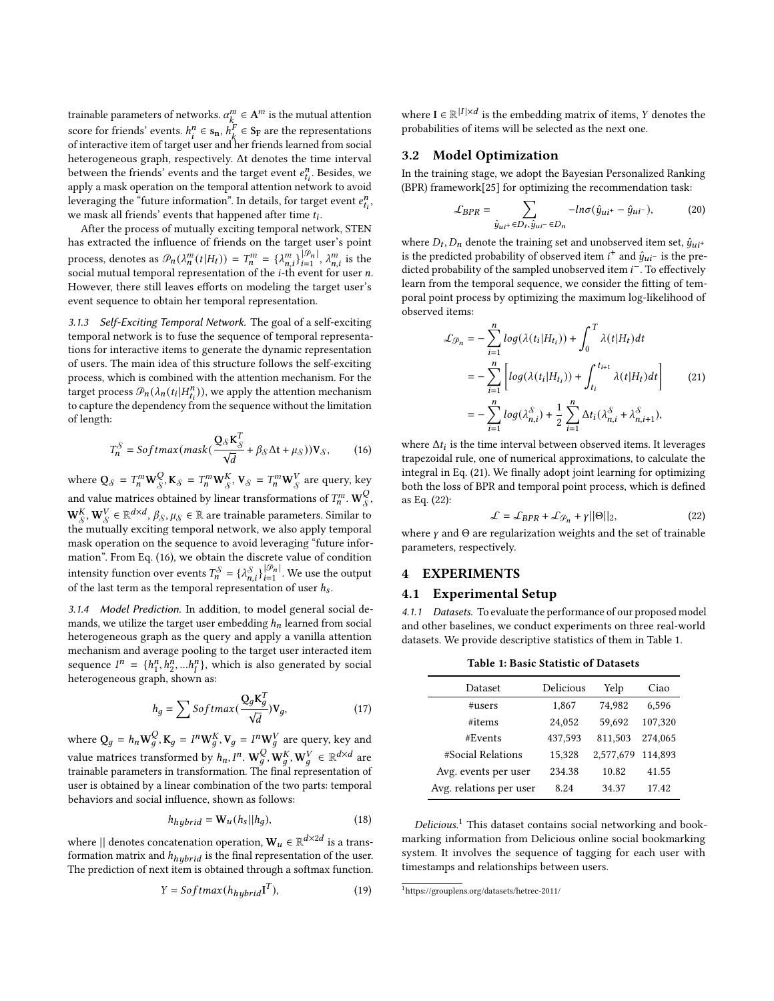trainable parameters of networks.  $\alpha_k^m \in A^m$  is the mutual attention score for friends' events.  $h_i^n \in \mathbf{s_n}$ ,  $h_k^F \in \mathbf{S_F}$  are the representations of interactive item of target user and her friends learned from social heterogeneous graph, respectively. Δt denotes the time interval between the friends' events and the target event  $e_{t_i}^n$ . Besides, we apply a mask operation on the temporal attention network to avoid leveraging the "future information". In details, for target event  $e_{t_i}^n$ , we mask all friends' events that happened after time  $t_i$ .

After the process of mutually exciting temporal network, STEN has extracted the influence of friends on the target user's point process, denotes as  $\mathcal{P}_n(\lambda_n^m(t|H_t)) = T_n^m = {\lambda_{n,i}^m}_{\}^{|\mathcal{P}_n|}$ ,  $\lambda_{n,i}^m$  is the social mutual temporal representation of the  $i$ -th event for user  $n$ . However, there still leaves efforts on modeling the target user's event sequence to obtain her temporal representation.

3.1.3 Self-Exciting Temporal Network. The goal of a self-exciting temporal network is to fuse the sequence of temporal representations for interactive items to generate the dynamic representation of users. The main idea of this structure follows the self-exciting process, which is combined with the attention mechanism. For the target process  $\mathcal{P}_n(\lambda_n(t_i|H_{t_i}^n))$ , we apply the attention mechanism to capture the dependency from the sequence without the limitation of length:

<span id="page-4-0"></span>
$$
T_n^{\mathcal{S}} = \text{Softmax}(mask(\frac{\mathbf{Q}_{\mathcal{S}} \mathbf{K}_{\mathcal{S}}^T}{\sqrt{d}} + \beta_{\mathcal{S}} \Delta t + \mu_{\mathcal{S}}))\mathbf{V}_{\mathcal{S}},\tag{16}
$$

where  $\mathbf{Q}_{\mathcal{S}} = T_n^m \mathbf{W}_{\mathcal{S}}^Q$  $\mathcal{S}_\mathcal{S}, \mathbf{K}_\mathcal{S} = T_n^m \mathbf{W}_\mathcal{S}^K, \mathbf{V}_\mathcal{S} = T_n^m \mathbf{W}_\mathcal{S}^V$  are query, key and value matrices obtained by linear transformations of  $T_n^m$ . W $\mathcal{Q}_s^Q$ S ,  $\mathbf{W}_\mathcal{S}^K$ ,  $\mathbf{W}_\mathcal{S}^V \in \mathbb{R}^{d \times d}$ ,  $\beta_{\mathcal{S}}, \mu_{\mathcal{S}} \in \mathbb{R}$  are trainable parameters. Similar to  $\mathbf{w}_s, \mathbf{w}_s \in \mathbb{R}^s$ ,  $\mu_s, \mu_s \in \mathbb{R}$  are trainable parameters. Similar to the mutually exciting temporal network, we also apply temporal mask operation on the sequence to avoid leveraging "future information". From Eq. [\(16\)](#page-4-0), we obtain the discrete value of condition intensity function over events  $T_n^{\mathcal{S}} = {\lambda_{n,i}^{\mathcal{S}} \}_{i=1}^{|\mathcal{P}_n|}$ . We use the output of the last term as the temporal representation of user  $h_s$ .

3.1.4 Model Prediction. In addition, to model general social demands, we utilize the target user embedding  $h_n$  learned from social heterogeneous graph as the query and apply a vanilla attention mechanism and average pooling to the target user interacted item sequence  $I^n = \{h_1^n\}$  $\binom{n}{1}, \binom{n}{2}, \ldots, \binom{n}{l}$ , which is also generated by social heterogeneous graph, shown as:

$$
h_g = \sum \mathcal{S}oftmax(\frac{\mathbf{Q}_g \mathbf{K}_g^T}{\sqrt{d}}) \mathbf{V}_g, \tag{17}
$$

where  $Q_q = h_n \mathbf{W}_q^Q$ ,  $\mathbf{K}_q = I^n \mathbf{W}_q^K$ ,  $\mathbf{V}_q = I^n \mathbf{W}_q^V$  are query, key and value matrices transformed by  $h_n$ ,  $I^n$ .  $\mathbf{W}_q^Q$ ,  $\mathbf{W}_q^K$ ,  $\mathbf{W}_q^V \in \mathbb{R}^{d \times d}$  are trainable parameters in transformation. The final representation of user is obtained by a linear combination of the two parts: temporal behaviors and social influence, shown as follows:

$$
h_{hybrid} = \mathbf{W}_u(h_s||h_q),\tag{18}
$$

where || denotes concatenation operation,  $\mathbf{W}_u \in \mathbb{R}^{d \times 2d}$  is a transformation matrix and  $h_{hybrid}$  is the final representation of the user. The prediction of next item is obtained through a softmax function.

$$
Y = Softmax(h_{hybrid}I^T),
$$
 (19)

where  $I \in \mathbb{R}^{|I| \times d}$  is the embedding matrix of items, Y denotes the probabilities of items will be selected as the next one.

#### 3.2 Model Optimization

In the training stage, we adopt the Bayesian Personalized Ranking (BPR) framework[\[25\]](#page-9-24) for optimizing the recommendation task:

$$
\mathcal{L}_{BPR} = \sum_{\hat{y}_{ui^+} \in D_t, \hat{y}_{ui^-} \in D_n} -ln \sigma(\hat{y}_{ui^+} - \hat{y}_{ui^-}),
$$
(20)

where  $D_t$ ,  $D_n$  denote the training set and unobserved item set,  $\hat{y}_{ui^+}$ is the predicted probability of observed item  $i^+$  and  $\hat{y}_{ui^-}$  is the predicted probability of the sampled unobserved item  $i^-$ . To effectively learn from the temporal sequence, we consider the fitting of temporal point process by optimizing the maximum log-likelihood of observed items:

<span id="page-4-1"></span>
$$
\mathcal{L}_{\mathcal{P}_n} = -\sum_{i=1}^n \log(\lambda(t_i|H_{t_i})) + \int_0^T \lambda(t|H_t)dt
$$
  
\n
$$
= -\sum_{i=1}^n \left[ \log(\lambda(t_i|H_{t_i})) + \int_{t_i}^{t_{i+1}} \lambda(t|H_t)dt \right]
$$
(21)  
\n
$$
= -\sum_{i=1}^n \log(\lambda_{n,i}^{\mathcal{S}}) + \frac{1}{2} \sum_{i=1}^n \Delta t_i (\lambda_{n,i}^{\mathcal{S}} + \lambda_{n,i+1}^{\mathcal{S}}),
$$

where  $\Delta t_i$  is the time interval between observed items. It leverages trapezoidal rule, one of numerical approximations, to calculate the integral in Eq. [\(21\)](#page-4-1). We finally adopt joint learning for optimizing both the loss of BPR and temporal point process, which is defined as Eq. [\(22\)](#page-4-2):

<span id="page-4-2"></span>
$$
\mathcal{L} = \mathcal{L}_{BPR} + \mathcal{L}_{\mathcal{P}_n} + \gamma ||\Theta||_2, \tag{22}
$$

where  $\gamma$  and  $\Theta$  are regularization weights and the set of trainable parameters, respectively.

### 4 EXPERIMENTS

#### 4.1 Experimental Setup

4.1.1 Datasets. To evaluate the performance of our proposed model and other baselines, we conduct experiments on three real-world datasets. We provide descriptive statistics of them in Table [1.](#page-4-3)

Table 1: Basic Statistic of Datasets

<span id="page-4-3"></span>

| Dataset                 | Delicious | Yelp      | Ciao    |
|-------------------------|-----------|-----------|---------|
| $\#users$               | 1,867     | 74,982    | 6.596   |
| #items                  | 24.052    | 59.692    | 107,320 |
| #Events                 | 437,593   | 811,503   | 274,065 |
| #Social Relations       | 15,328    | 2,577,679 | 114.893 |
| Avg. events per user    | 234.38    | 10.82     | 41.55   |
| Avg. relations per user | 8.24      | 34.37     | 17.42   |

 $Delicious<sup>1</sup>$  $Delicious<sup>1</sup>$  $Delicious<sup>1</sup>$  This dataset contains social networking and bookmarking information from Delicious online social bookmarking system. It involves the sequence of tagging for each user with timestamps and relationships between users.

<span id="page-4-4"></span><sup>1</sup>https://grouplens.org/datasets/hetrec-2011/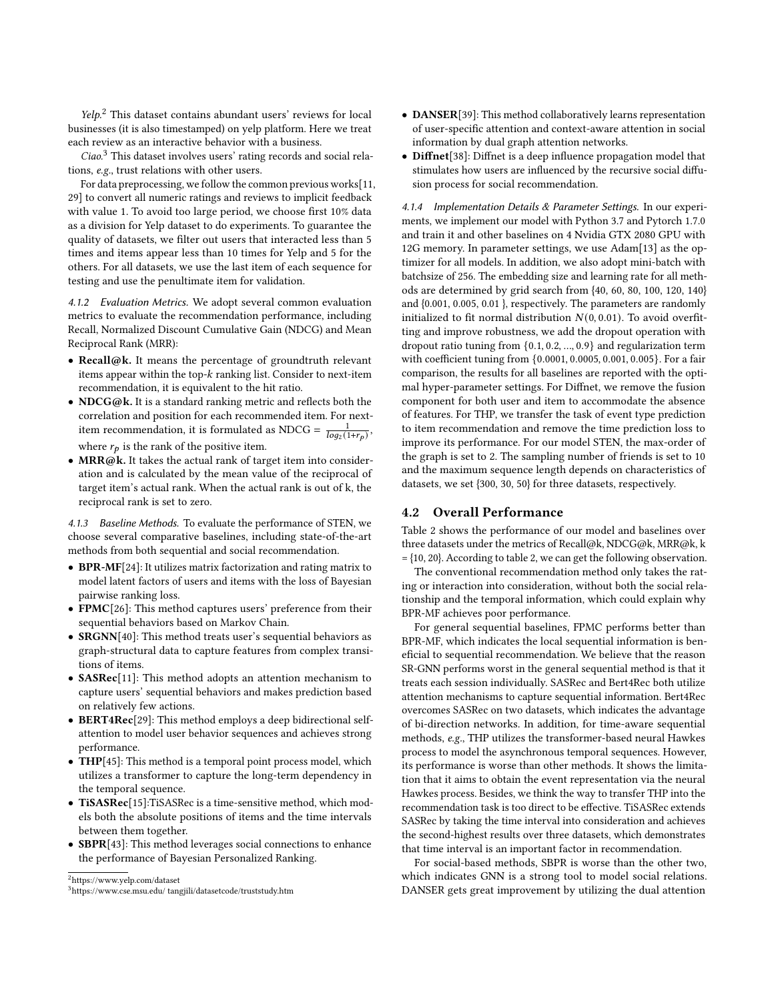$Yelp<sup>2</sup>$  $Yelp<sup>2</sup>$  $Yelp<sup>2</sup>$  This dataset contains abundant users' reviews for local businesses (it is also timestamped) on yelp platform. Here we treat each review as an interactive behavior with a business.

Ciao.[3](#page-5-1) This dataset involves users' rating records and social relations, e.g., trust relations with other users.

For data preprocessing, we follow the common previous works[\[11,](#page-9-3) [29\]](#page-9-25) to convert all numeric ratings and reviews to implicit feedback with value 1. To avoid too large period, we choose first 10% data as a division for Yelp dataset to do experiments. To guarantee the quality of datasets, we filter out users that interacted less than 5 times and items appear less than 10 times for Yelp and 5 for the others. For all datasets, we use the last item of each sequence for testing and use the penultimate item for validation.

4.1.2 Evaluation Metrics. We adopt several common evaluation metrics to evaluate the recommendation performance, including Recall, Normalized Discount Cumulative Gain (NDCG) and Mean Reciprocal Rank (MRR):

- Recall@k. It means the percentage of groundtruth relevant items appear within the top- $k$  ranking list. Consider to next-item recommendation, it is equivalent to the hit ratio.
- NDCG@k. It is a standard ranking metric and reflects both the correlation and position for each recommended item. For nextitem recommendation, it is formulated as NDCG =  $\frac{1}{log_2(1+r_p)}$ , where  $r_p$  is the rank of the positive item.
- MRR@k. It takes the actual rank of target item into consideration and is calculated by the mean value of the reciprocal of target item's actual rank. When the actual rank is out of k, the reciprocal rank is set to zero.

4.1.3 Baseline Methods. To evaluate the performance of STEN, we choose several comparative baselines, including state-of-the-art methods from both sequential and social recommendation.

- BPR-MF[\[24\]](#page-9-26): It utilizes matrix factorization and rating matrix to model latent factors of users and items with the loss of Bayesian pairwise ranking loss.
- FPMC[\[26\]](#page-9-27): This method captures users' preference from their sequential behaviors based on Markov Chain.
- SRGNN[\[40\]](#page-9-28): This method treats user's sequential behaviors as graph-structural data to capture features from complex transitions of items.
- SASRec[\[11\]](#page-9-3): This method adopts an attention mechanism to capture users' sequential behaviors and makes prediction based on relatively few actions.
- **BERT4Rec**[\[29\]](#page-9-25): This method employs a deep bidirectional selfattention to model user behavior sequences and achieves strong performance.
- THP[\[45\]](#page-9-29): This method is a temporal point process model, which utilizes a transformer to capture the long-term dependency in the temporal sequence.
- TiSASRec<sup>[\[15\]](#page-9-6)</sup>:TiSASRec is a time-sensitive method, which models both the absolute positions of items and the time intervals between them together.
- SBPR[\[43\]](#page-9-14): This method leverages social connections to enhance the performance of Bayesian Personalized Ranking.

<span id="page-5-0"></span><sup>2</sup>https://www.yelp.com/dataset

- DANSER[\[39\]](#page-9-18): This method collaboratively learns representation of user-specific attention and context-aware attention in social information by dual graph attention networks.
- Diffnet[\[38\]](#page-9-17): Diffnet is a deep influence propagation model that stimulates how users are influenced by the recursive social diffusion process for social recommendation.

4.1.4 Implementation Details & Parameter Settings. In our experiments, we implement our model with Python 3.7 and Pytorch 1.7.0 and train it and other baselines on 4 Nvidia GTX 2080 GPU with 12G memory. In parameter settings, we use Adam[\[13\]](#page-9-30) as the optimizer for all models. In addition, we also adopt mini-batch with batchsize of 256. The embedding size and learning rate for all methods are determined by grid search from {40, 60, 80, 100, 120, 140} and {0.001, 0.005, 0.01 }, respectively. The parameters are randomly initialized to fit normal distribution  $N(0, 0.01)$ . To avoid overfitting and improve robustness, we add the dropout operation with dropout ratio tuning from {0.1, 0.2, ..., 0.9} and regularization term with coefficient tuning from {0.0001, 0.0005, 0.001, 0.005}. For a fair comparison, the results for all baselines are reported with the optimal hyper-parameter settings. For Diffnet, we remove the fusion component for both user and item to accommodate the absence of features. For THP, we transfer the task of event type prediction to item recommendation and remove the time prediction loss to improve its performance. For our model STEN, the max-order of the graph is set to 2. The sampling number of friends is set to 10 and the maximum sequence length depends on characteristics of datasets, we set {300, 30, 50} for three datasets, respectively.

#### 4.2 Overall Performance

Table [2](#page-6-0) shows the performance of our model and baselines over three datasets under the metrics of Recall@k, NDCG@k, MRR@k, k  $= \{10, 20\}$ . According to table [2,](#page-6-0) we can get the following observation.

The conventional recommendation method only takes the rating or interaction into consideration, without both the social relationship and the temporal information, which could explain why BPR-MF achieves poor performance.

For general sequential baselines, FPMC performs better than BPR-MF, which indicates the local sequential information is beneficial to sequential recommendation. We believe that the reason SR-GNN performs worst in the general sequential method is that it treats each session individually. SASRec and Bert4Rec both utilize attention mechanisms to capture sequential information. Bert4Rec overcomes SASRec on two datasets, which indicates the advantage of bi-direction networks. In addition, for time-aware sequential methods, e.g., THP utilizes the transformer-based neural Hawkes process to model the asynchronous temporal sequences. However, its performance is worse than other methods. It shows the limitation that it aims to obtain the event representation via the neural Hawkes process. Besides, we think the way to transfer THP into the recommendation task is too direct to be effective. TiSASRec extends SASRec by taking the time interval into consideration and achieves the second-highest results over three datasets, which demonstrates that time interval is an important factor in recommendation.

For social-based methods, SBPR is worse than the other two, which indicates GNN is a strong tool to model social relations. DANSER gets great improvement by utilizing the dual attention

<span id="page-5-1"></span><sup>3</sup>https://www.cse.msu.edu/ tangjili/datasetcode/truststudy.htm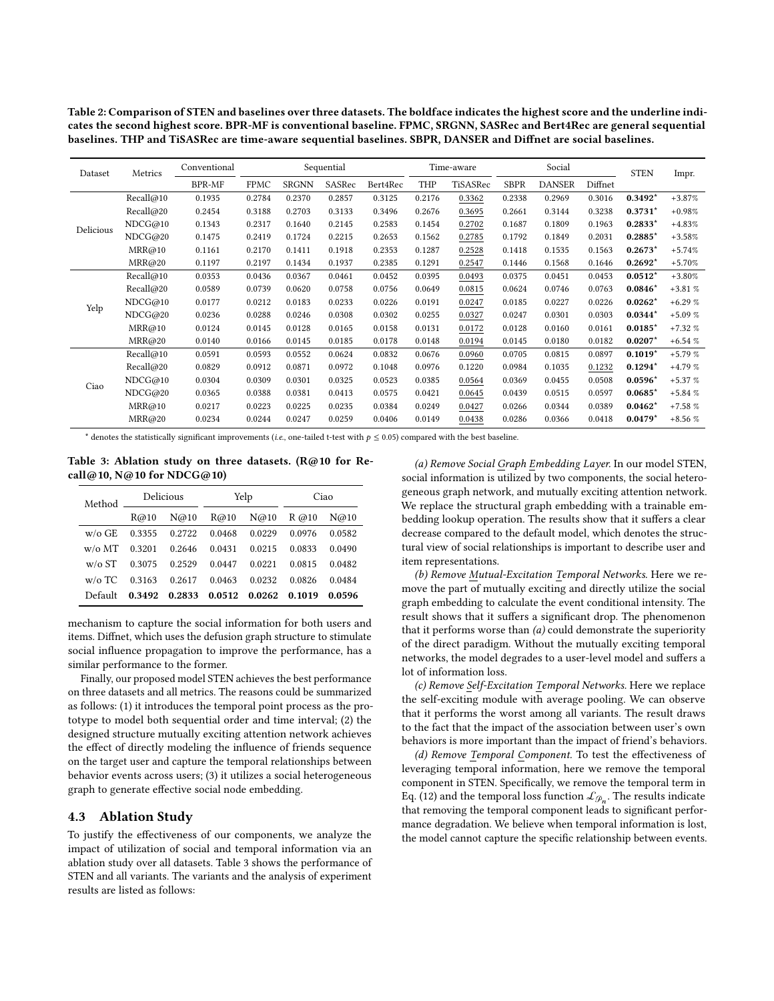<span id="page-6-0"></span>Table 2: Comparison of STEN and baselines over three datasets. The boldface indicates the highest score and the underline indicates the second highest score. BPR-MF is conventional baseline. FPMC, SRGNN, SASRec and Bert4Rec are general sequential baselines. THP and TiSASRec are time-aware sequential baselines. SBPR, DANSER and Diffnet are social baselines.

| Metrics<br>Dataset |           | Conventional | Sequential  |              |        | Time-aware |        | Social   |             | <b>STEN</b>   | Impr.   |           |          |
|--------------------|-----------|--------------|-------------|--------------|--------|------------|--------|----------|-------------|---------------|---------|-----------|----------|
|                    |           | BPR-MF       | <b>FPMC</b> | <b>SRGNN</b> | SASRec | Bert4Rec   | THP    | TiSASRec | <b>SBPR</b> | <b>DANSER</b> | Diffnet |           |          |
| Delicious          | Recall@10 | 0.1935       | 0.2784      | 0.2370       | 0.2857 | 0.3125     | 0.2176 | 0.3362   | 0.2338      | 0.2969        | 0.3016  | $0.3492*$ | $+3.87%$ |
|                    | Recall@20 | 0.2454       | 0.3188      | 0.2703       | 0.3133 | 0.3496     | 0.2676 | 0.3695   | 0.2661      | 0.3144        | 0.3238  | $0.3731*$ | $+0.98%$ |
|                    | NDCG@10   | 0.1343       | 0.2317      | 0.1640       | 0.2145 | 0.2583     | 0.1454 | 0.2702   | 0.1687      | 0.1809        | 0.1963  | $0.2833*$ | $+4.83%$ |
|                    | NDCG@20   | 0.1475       | 0.2419      | 0.1724       | 0.2215 | 0.2653     | 0.1562 | 0.2785   | 0.1792      | 0.1849        | 0.2031  | $0.2885*$ | $+3.58%$ |
|                    | MRR@10    | 0.1161       | 0.2170      | 0.1411       | 0.1918 | 0.2353     | 0.1287 | 0.2528   | 0.1418      | 0.1535        | 0.1563  | $0.2673*$ | $+5.74%$ |
|                    | MRR@20    | 0.1197       | 0.2197      | 0.1434       | 0.1937 | 0.2385     | 0.1291 | 0.2547   | 0.1446      | 0.1568        | 0.1646  | $0.2692*$ | $+5.70%$ |
| Yelp               | Recall@10 | 0.0353       | 0.0436      | 0.0367       | 0.0461 | 0.0452     | 0.0395 | 0.0493   | 0.0375      | 0.0451        | 0.0453  | $0.0512*$ | $+3.80%$ |
|                    | Recall@20 | 0.0589       | 0.0739      | 0.0620       | 0.0758 | 0.0756     | 0.0649 | 0.0815   | 0.0624      | 0.0746        | 0.0763  | $0.0846*$ | $+3.81%$ |
|                    | NDCG@10   | 0.0177       | 0.0212      | 0.0183       | 0.0233 | 0.0226     | 0.0191 | 0.0247   | 0.0185      | 0.0227        | 0.0226  | $0.0262*$ | $+6.29%$ |
|                    | NDCG@20   | 0.0236       | 0.0288      | 0.0246       | 0.0308 | 0.0302     | 0.0255 | 0.0327   | 0.0247      | 0.0301        | 0.0303  | $0.0344*$ | $+5.09%$ |
|                    | MRR@10    | 0.0124       | 0.0145      | 0.0128       | 0.0165 | 0.0158     | 0.0131 | 0.0172   | 0.0128      | 0.0160        | 0.0161  | $0.0185*$ | $+7.32%$ |
|                    | MRR@20    | 0.0140       | 0.0166      | 0.0145       | 0.0185 | 0.0178     | 0.0148 | 0.0194   | 0.0145      | 0.0180        | 0.0182  | $0.0207*$ | $+6.54%$ |
| Ciao               | Recall@10 | 0.0591       | 0.0593      | 0.0552       | 0.0624 | 0.0832     | 0.0676 | 0.0960   | 0.0705      | 0.0815        | 0.0897  | $0.1019*$ | $+5.79%$ |
|                    | Recall@20 | 0.0829       | 0.0912      | 0.0871       | 0.0972 | 0.1048     | 0.0976 | 0.1220   | 0.0984      | 0.1035        | 0.1232  | $0.1294*$ | $+4.79%$ |
|                    | NDCG@10   | 0.0304       | 0.0309      | 0.0301       | 0.0325 | 0.0523     | 0.0385 | 0.0564   | 0.0369      | 0.0455        | 0.0508  | $0.0596*$ | $+5.37%$ |
|                    | NDCG@20   | 0.0365       | 0.0388      | 0.0381       | 0.0413 | 0.0575     | 0.0421 | 0.0645   | 0.0439      | 0.0515        | 0.0597  | $0.0685*$ | $+5.84%$ |
|                    | MRR@10    | 0.0217       | 0.0223      | 0.0225       | 0.0235 | 0.0384     | 0.0249 | 0.0427   | 0.0266      | 0.0344        | 0.0389  | $0.0462*$ | $+7.58%$ |
|                    | MRR@20    | 0.0234       | 0.0244      | 0.0247       | 0.0259 | 0.0406     | 0.0149 | 0.0438   | 0.0286      | 0.0366        | 0.0418  | $0.0479*$ | $+8.56%$ |

\* denotes the statistically significant improvements (i.e., one-tailed t-test with  $p \le 0.05$ ) compared with the best baseline.

<span id="page-6-1"></span>Table 3: Ablation study on three datasets. (R@10 for Recall@10, N@10 for NDCG@10)

| Method         | Delicious |        |        | Yelp   | Ciao    |        |  |
|----------------|-----------|--------|--------|--------|---------|--------|--|
|                | R@10      | N@10   | R@10   | N@10   | $R$ @10 | N@10   |  |
| w/o GE         | 0.3355    | 0.2722 | 0.0468 | 0.0229 | 0.0976  | 0.0582 |  |
| w/o MT         | 0.3201    | 0.2646 | 0.0431 | 0.0215 | 0.0833  | 0.0490 |  |
| $w/\alpha$ ST  | 0.3075    | 0.2529 | 0.0447 | 0.0221 | 0.0815  | 0.0482 |  |
| $w/\alpha$ TC. | 0.3163    | 0.2617 | 0.0463 | 0.0232 | 0.0826  | 0.0484 |  |
| Default        | 0.3492    | 0.2833 | 0.0512 | 0.0262 | 0.1019  | 0.0596 |  |

mechanism to capture the social information for both users and items. Diffnet, which uses the defusion graph structure to stimulate social influence propagation to improve the performance, has a similar performance to the former.

Finally, our proposed model STEN achieves the best performance on three datasets and all metrics. The reasons could be summarized as follows: (1) it introduces the temporal point process as the prototype to model both sequential order and time interval; (2) the designed structure mutually exciting attention network achieves the effect of directly modeling the influence of friends sequence on the target user and capture the temporal relationships between behavior events across users; (3) it utilizes a social heterogeneous graph to generate effective social node embedding.

#### 4.3 Ablation Study

To justify the effectiveness of our components, we analyze the impact of utilization of social and temporal information via an ablation study over all datasets. Table [3](#page-6-1) shows the performance of STEN and all variants. The variants and the analysis of experiment results are listed as follows:

(a) Remove Social Graph Embedding Layer. In our model STEN, social information is utilized by two components, the social heterogeneous graph network, and mutually exciting attention network. We replace the structural graph embedding with a trainable embedding lookup operation. The results show that it suffers a clear decrease compared to the default model, which denotes the structural view of social relationships is important to describe user and item representations.

(b) Remove Mutual-Excitation Temporal Networks. Here we remove the part of mutually exciting and directly utilize the social graph embedding to calculate the event conditional intensity. The result shows that it suffers a significant drop. The phenomenon that it performs worse than  $(a)$  could demonstrate the superiority of the direct paradigm. Without the mutually exciting temporal networks, the model degrades to a user-level model and suffers a lot of information loss.

(c) Remove Self-Excitation Temporal Networks. Here we replace the self-exciting module with average pooling. We can observe that it performs the worst among all variants. The result draws to the fact that the impact of the association between user's own behaviors is more important than the impact of friend's behaviors.

(d) Remove Temporal Component. To test the effectiveness of leveraging temporal information, here we remove the temporal component in STEN. Specifically, we remove the temporal term in Eq. [\(12\)](#page-3-5) and the temporal loss function  $\mathcal{L}_{\mathcal{P}_n}.$  The results indicate that removing the temporal component leads to significant performance degradation. We believe when temporal information is lost, the model cannot capture the specific relationship between events.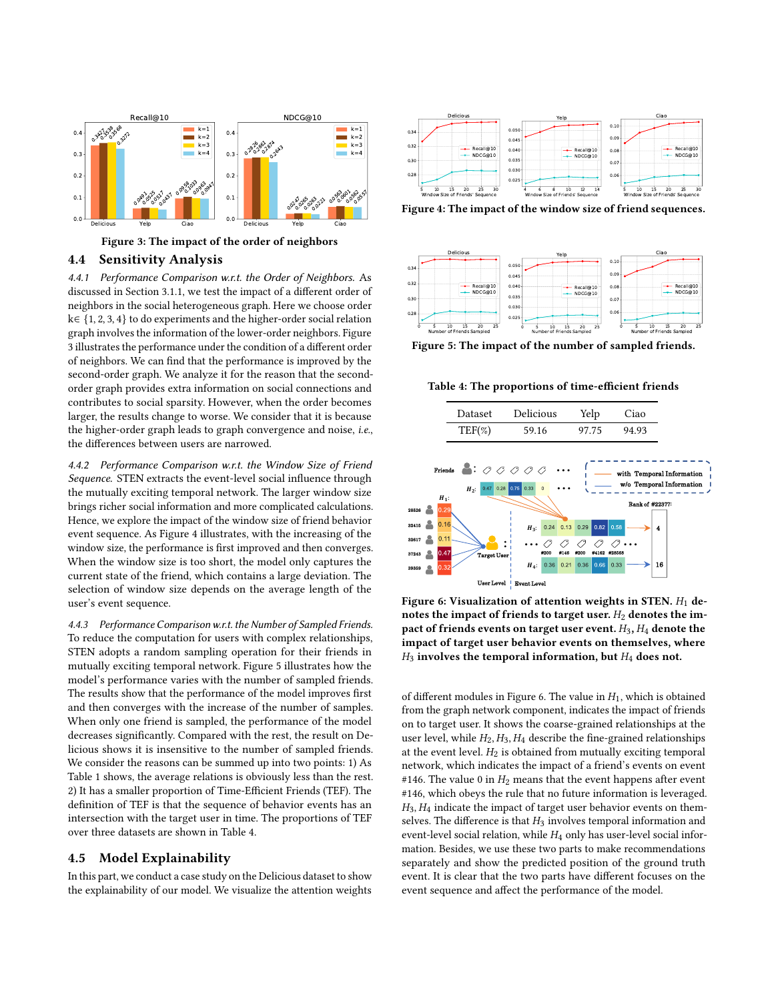<span id="page-7-0"></span>

Figure 3: The impact of the order of neighbors

#### 4.4 Sensitivity Analysis

4.4.1 Performance Comparison w.r.t. the Order of Neighbors. As discussed in Section 3.1.1, we test the impact of a different order of neighbors in the social heterogeneous graph. Here we choose order k∈ {1, 2, 3, 4} to do experiments and the higher-order social relation graph involves the information of the lower-order neighbors. Figure [3](#page-7-0) illustrates the performance under the condition of a different order of neighbors. We can find that the performance is improved by the second-order graph. We analyze it for the reason that the secondorder graph provides extra information on social connections and contributes to social sparsity. However, when the order becomes larger, the results change to worse. We consider that it is because the higher-order graph leads to graph convergence and noise, i.e., the differences between users are narrowed.

4.4.2 Performance Comparison w.r.t. the Window Size of Friend Sequence. STEN extracts the event-level social influence through the mutually exciting temporal network. The larger window size brings richer social information and more complicated calculations. Hence, we explore the impact of the window size of friend behavior event sequence. As Figure [4](#page-7-1) illustrates, with the increasing of the window size, the performance is first improved and then converges. When the window size is too short, the model only captures the current state of the friend, which contains a large deviation. The selection of window size depends on the average length of the user's event sequence.

4.4.3 Performance Comparison w.r.t. the Number of Sampled Friends. To reduce the computation for users with complex relationships, STEN adopts a random sampling operation for their friends in mutually exciting temporal network. Figure [5](#page-7-2) illustrates how the model's performance varies with the number of sampled friends. The results show that the performance of the model improves first and then converges with the increase of the number of samples. When only one friend is sampled, the performance of the model decreases significantly. Compared with the rest, the result on Delicious shows it is insensitive to the number of sampled friends. We consider the reasons can be summed up into two points: 1) As Table [1](#page-4-3) shows, the average relations is obviously less than the rest. 2) It has a smaller proportion of Time-Efficient Friends (TEF). The definition of TEF is that the sequence of behavior events has an intersection with the target user in time. The proportions of TEF over three datasets are shown in Table [4.](#page-7-3)

## 4.5 Model Explainability

In this part, we conduct a case study on the Delicious dataset to show the explainability of our model. We visualize the attention weights

<span id="page-7-1"></span>

Figure 4: The impact of the window size of friend sequences.

<span id="page-7-2"></span>

Figure 5: The impact of the number of sampled friends.

Table 4: The proportions of time-efficient friends

<span id="page-7-4"></span><span id="page-7-3"></span>

Figure 6: Visualization of attention weights in STEN.  $H_1$  denotes the impact of friends to target user.  $H_2$  denotes the impact of friends events on target user event.  $H_3$ ,  $H_4$  denote the impact of target user behavior events on themselves, where  $H_3$  involves the temporal information, but  $H_4$  does not.

of different modules in Figure [6.](#page-7-4) The value in  $H_1$ , which is obtained from the graph network component, indicates the impact of friends on to target user. It shows the coarse-grained relationships at the user level, while  $H_2, H_3, H_4$  describe the fine-grained relationships at the event level.  $H_2$  is obtained from mutually exciting temporal network, which indicates the impact of a friend's events on event #146. The value 0 in  $H_2$  means that the event happens after event #146, which obeys the rule that no future information is leveraged.  $H_3$ ,  $H_4$  indicate the impact of target user behavior events on themselves. The difference is that  $H_3$  involves temporal information and event-level social relation, while  $H_4$  only has user-level social information. Besides, we use these two parts to make recommendations separately and show the predicted position of the ground truth event. It is clear that the two parts have different focuses on the event sequence and affect the performance of the model.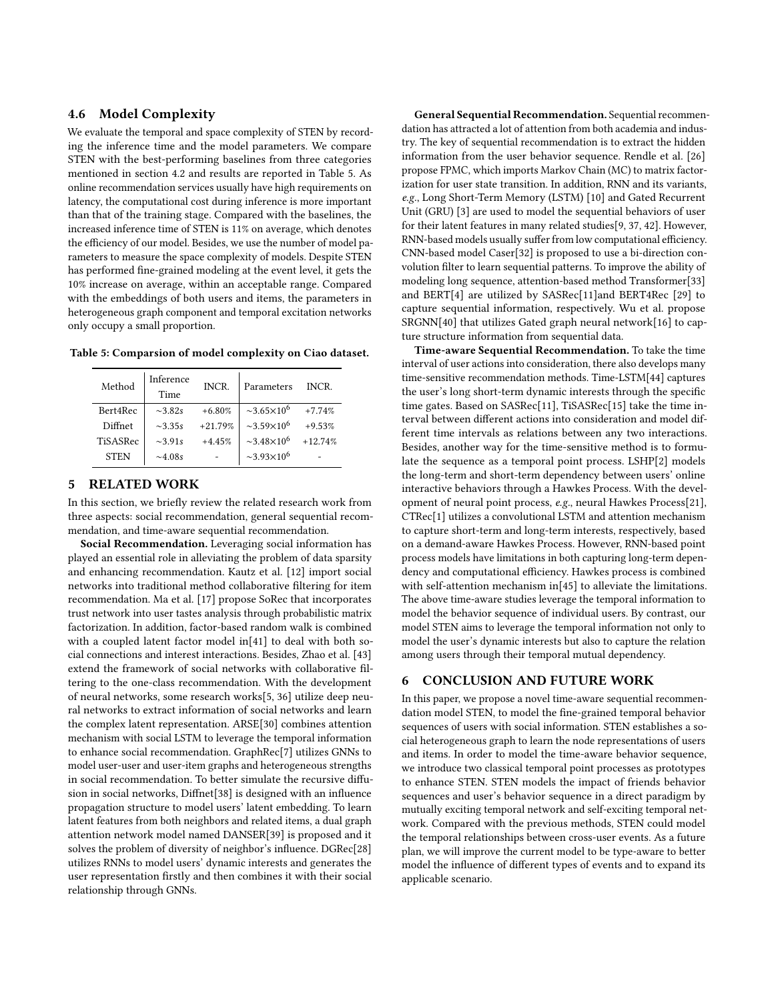# 4.6 Model Complexity

We evaluate the temporal and space complexity of STEN by recording the inference time and the model parameters. We compare STEN with the best-performing baselines from three categories mentioned in section 4.2 and results are reported in Table [5.](#page-8-0) As online recommendation services usually have high requirements on latency, the computational cost during inference is more important than that of the training stage. Compared with the baselines, the increased inference time of STEN is 11% on average, which denotes the efficiency of our model. Besides, we use the number of model parameters to measure the space complexity of models. Despite STEN has performed fine-grained modeling at the event level, it gets the 10% increase on average, within an acceptable range. Compared with the embeddings of both users and items, the parameters in heterogeneous graph component and temporal excitation networks only occupy a small proportion.

<span id="page-8-0"></span>Table 5: Comparsion of model complexity on Ciao dataset.

| Method      | Inference<br>Time | INCR.     | Parameters                           | INCR.     |
|-------------|-------------------|-----------|--------------------------------------|-----------|
| Bert4Rec    | $\sim 3.82s$      | $+6.80%$  | $\sim$ 3.65 $\times$ 10 <sup>6</sup> | $+7.74%$  |
| Diffnet     | $\sim$ 335s       | $+21.79%$ | $\approx 3.59 \times 10^6$           | $+9.53%$  |
| TiSASRec    | $\sim$ 3.91s      | $+4.45%$  | $\sim$ 3.48 $\times$ 10 <sup>6</sup> | $+12.74%$ |
| <b>STEN</b> | $\sim$ 4.08s      |           | $\sim$ 3.93×10 <sup>6</sup>          |           |

#### 5 RELATED WORK

In this section, we briefly review the related research work from three aspects: social recommendation, general sequential recommendation, and time-aware sequential recommendation.

Social Recommendation. Leveraging social information has played an essential role in alleviating the problem of data sparsity and enhancing recommendation. Kautz et al. [\[12\]](#page-9-31) import social networks into traditional method collaborative filtering for item recommendation. Ma et al. [\[17\]](#page-9-32) propose SoRec that incorporates trust network into user tastes analysis through probabilistic matrix factorization. In addition, factor-based random walk is combined with a coupled latent factor model in[\[41\]](#page-9-33) to deal with both social connections and interest interactions. Besides, Zhao et al. [\[43\]](#page-9-14) extend the framework of social networks with collaborative filtering to the one-class recommendation. With the development of neural networks, some research works[\[5,](#page-9-10) [36\]](#page-9-34) utilize deep neural networks to extract information of social networks and learn the complex latent representation. ARSE[\[30\]](#page-9-20) combines attention mechanism with social LSTM to leverage the temporal information to enhance social recommendation. GraphRec[\[7\]](#page-9-35) utilizes GNNs to model user-user and user-item graphs and heterogeneous strengths in social recommendation. To better simulate the recursive diffusion in social networks, Diffnet[\[38\]](#page-9-17) is designed with an influence propagation structure to model users' latent embedding. To learn latent features from both neighbors and related items, a dual graph attention network model named DANSER[\[39\]](#page-9-18) is proposed and it solves the problem of diversity of neighbor's influence. DGRec[\[28\]](#page-9-19) utilizes RNNs to model users' dynamic interests and generates the user representation firstly and then combines it with their social relationship through GNNs.

General Sequential Recommendation. Sequential recommendation has attracted a lot of attention from both academia and industry. The key of sequential recommendation is to extract the hidden information from the user behavior sequence. Rendle et al. [\[26\]](#page-9-27) propose FPMC, which imports Markov Chain (MC) to matrix factorization for user state transition. In addition, RNN and its variants, e.g., Long Short-Term Memory (LSTM) [\[10\]](#page-9-36) and Gated Recurrent Unit (GRU) [\[3\]](#page-9-37) are used to model the sequential behaviors of user for their latent features in many related studies[\[9,](#page-9-1) [37,](#page-9-38) [42\]](#page-9-39). However, RNN-based models usually suffer from low computational efficiency. CNN-based model Caser[\[32\]](#page-9-2) is proposed to use a bi-direction convolution filter to learn sequential patterns. To improve the ability of modeling long sequence, attention-based method Transformer[\[33\]](#page-9-40) and BERT[\[4\]](#page-9-41) are utilized by SASRec[\[11\]](#page-9-3)and BERT4Rec [\[29\]](#page-9-25) to capture sequential information, respectively. Wu et al. propose SRGNN[\[40\]](#page-9-28) that utilizes Gated graph neural network[\[16\]](#page-9-42) to capture structure information from sequential data.

Time-aware Sequential Recommendation. To take the time interval of user actions into consideration, there also develops many time-sensitive recommendation methods. Time-LSTM[\[44\]](#page-9-43) captures the user's long short-term dynamic interests through the specific time gates. Based on SASRec[\[11\]](#page-9-3), TiSASRec[\[15\]](#page-9-6) take the time interval between different actions into consideration and model different time intervals as relations between any two interactions. Besides, another way for the time-sensitive method is to formulate the sequence as a temporal point process. LSHP[\[2\]](#page-9-44) models the long-term and short-term dependency between users' online interactive behaviors through a Hawkes Process. With the development of neural point process, e.g., neural Hawkes Process[\[21\]](#page-9-45), CTRec[\[1\]](#page-9-5) utilizes a convolutional LSTM and attention mechanism to capture short-term and long-term interests, respectively, based on a demand-aware Hawkes Process. However, RNN-based point process models have limitations in both capturing long-term dependency and computational efficiency. Hawkes process is combined with self-attention mechanism in[\[45\]](#page-9-29) to alleviate the limitations. The above time-aware studies leverage the temporal information to model the behavior sequence of individual users. By contrast, our model STEN aims to leverage the temporal information not only to model the user's dynamic interests but also to capture the relation among users through their temporal mutual dependency.

# 6 CONCLUSION AND FUTURE WORK

In this paper, we propose a novel time-aware sequential recommendation model STEN, to model the fine-grained temporal behavior sequences of users with social information. STEN establishes a social heterogeneous graph to learn the node representations of users and items. In order to model the time-aware behavior sequence, we introduce two classical temporal point processes as prototypes to enhance STEN. STEN models the impact of friends behavior sequences and user's behavior sequence in a direct paradigm by mutually exciting temporal network and self-exciting temporal network. Compared with the previous methods, STEN could model the temporal relationships between cross-user events. As a future plan, we will improve the current model to be type-aware to better model the influence of different types of events and to expand its applicable scenario.